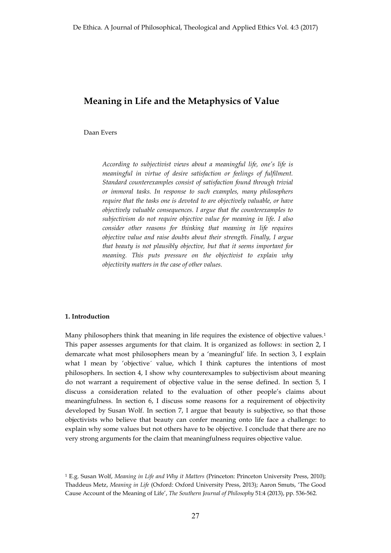# **Meaning in Life and the Metaphysics of Value**

Daan Evers

*According to subjectivist views about a meaningful life, one's life is meaningful in virtue of desire satisfaction or feelings of fulfilment. Standard counterexamples consist of satisfaction found through trivial or immoral tasks. In response to such examples, many philosophers require that the tasks one is devoted to are objectively valuable, or have objectively valuable consequences. I argue that the counterexamples to subjectivism do not require objective value for meaning in life. I also consider other reasons for thinking that meaning in life requires objective value and raise doubts about their strength. Finally, I argue that beauty is not plausibly objective, but that it seems important for meaning. This puts pressure on the objectivist to explain why objectivity matters in the case of other values.* 

## **1. Introduction**

Many philosophers think that meaning in life requires the existence of objective values.1 This paper assesses arguments for that claim. It is organized as follows: in section 2, I demarcate what most philosophers mean by a 'meaningful' life. In section 3, I explain what I mean by 'objective´ value, which I think captures the intentions of most philosophers. In section 4, I show why counterexamples to subjectivism about meaning do not warrant a requirement of objective value in the sense defined. In section 5, I discuss a consideration related to the evaluation of other people's claims about meaningfulness. In section 6, I discuss some reasons for a requirement of objectivity developed by Susan Wolf. In section 7, I argue that beauty is subjective, so that those objectivists who believe that beauty can confer meaning onto life face a challenge: to explain why some values but not others have to be objective. I conclude that there are no very strong arguments for the claim that meaningfulness requires objective value.

<sup>1</sup> E.g. Susan Wolf, *Meaning in Life and Why it Matters* (Princeton: Princeton University Press, 2010); Thaddeus Metz, *Meaning in Life* (Oxford: Oxford University Press, 2013); Aaron Smuts, 'The Good Cause Account of the Meaning of Life', *The Southern Journal of Philosophy* 51:4 (2013), pp. 536-562.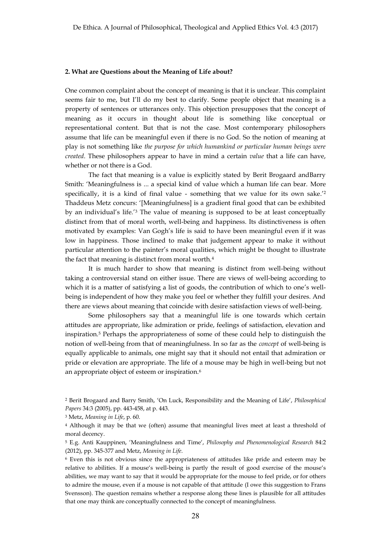#### **2. What are Questions about the Meaning of Life about?**

One common complaint about the concept of meaning is that it is unclear. This complaint seems fair to me, but I'll do my best to clarify. Some people object that meaning is a property of sentences or utterances only. This objection presupposes that the concept of meaning as it occurs in thought about life is something like conceptual or representational content. But that is not the case. Most contemporary philosophers assume that life can be meaningful even if there is no God. So the notion of meaning at play is not something like *the purpose for which humankind or particular human beings were created*. These philosophers appear to have in mind a certain *value* that a life can have, whether or not there is a God.

The fact that meaning is a value is explicitly stated by Berit Brogaard andBarry Smith: 'Meaningfulness is ... a special kind of value which a human life can bear. More specifically, it is a kind of final value - something that we value for its own sake.'<sup>2</sup> Thaddeus Metz concurs: '[Meaningfulness] is a gradient final good that can be exhibited by an individual's life.'<sup>3</sup> The value of meaning is supposed to be at least conceptually distinct from that of moral worth, well-being and happiness. Its distinctiveness is often motivated by examples: Van Gogh's life is said to have been meaningful even if it was low in happiness. Those inclined to make that judgement appear to make it without particular attention to the painter's moral qualities, which might be thought to illustrate the fact that meaning is distinct from moral worth.<sup>4</sup>

It is much harder to show that meaning is distinct from well-being without taking a controversial stand on either issue. There are views of well-being according to which it is a matter of satisfying a list of goods, the contribution of which to one's wellbeing is independent of how they make you feel or whether they fulfill your desires. And there are views about meaning that coincide with desire satisfaction views of well-being.

Some philosophers say that a meaningful life is one towards which certain attitudes are appropriate, like admiration or pride, feelings of satisfaction, elevation and inspiration.5 Perhaps the appropriateness of some of these could help to distinguish the notion of well-being from that of meaningfulness. In so far as the *concept* of well-being is equally applicable to animals, one might say that it should not entail that admiration or pride or elevation are appropriate. The life of a mouse may be high in well-being but not an appropriate object of esteem or inspiration.6

<sup>2</sup> Berit Brogaard and Barry Smith, 'On Luck, Responsibility and the Meaning of Life', *Philosophical Papers* 34:3 (2005), pp. 443-458, at p. 443.

<sup>3</sup> Metz, *Meaning in Life*, p. 60.

<sup>4</sup> Although it may be that we (often) assume that meaningful lives meet at least a threshold of moral decency.

<sup>5</sup> E.g. Anti Kauppinen, 'Meaningfulness and Time', *Philosophy and Phenomenological Research* 84:2 (2012), pp. 345-377 and Metz, *Meaning in Life*.

<sup>6</sup> Even this is not obvious since the appropriateness of attitudes like pride and esteem may be relative to abilities. If a mouse's well-being is partly the result of good exercise of the mouse's abilities, we may want to say that it would be appropriate for the mouse to feel pride, or for others to admire the mouse, even if a mouse is not capable of that attitude (I owe this suggestion to Frans Svensson). The question remains whether a response along these lines is plausible for all attitudes that one may think are conceptually connected to the concept of meaningfulness.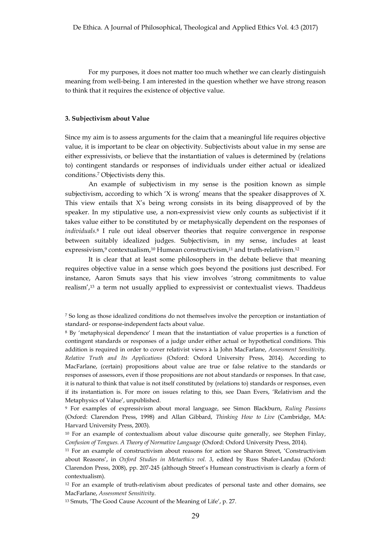For my purposes, it does not matter too much whether we can clearly distinguish meaning from well-being. I am interested in the question whether we have strong reason to think that it requires the existence of objective value.

# **3. Subjectivism about Value**

Since my aim is to assess arguments for the claim that a meaningful life requires objective value, it is important to be clear on objectivity. Subjectivists about value in my sense are either expressivists, or believe that the instantiation of values is determined by (relations to) contingent standards or responses of individuals under either actual or idealized conditions.7 Objectivists deny this.

An example of subjectivism in my sense is the position known as simple subjectivism, according to which 'X is wrong' means that the speaker disapproves of X. This view entails that X's being wrong consists in its being disapproved of by the speaker. In my stipulative use, a non-expressivist view only counts as subjectivist if it takes value either to be constituted by or metaphysically dependent on the responses of *individuals*.8 I rule out ideal observer theories that require convergence in response between suitably idealized judges. Subjectivism, in my sense, includes at least expressivism,<sup>9</sup> contextualism,<sup>10</sup> Humean constructivism,<sup>11</sup> and truth-relativism.<sup>12</sup>

It is clear that at least some philosophers in the debate believe that meaning requires objective value in a sense which goes beyond the positions just described. For instance, Aaron Smuts says that his view involves 'strong commitments to value realism',13 a term not usually applied to expressivist or contextualist views. Thaddeus

<sup>9</sup> For examples of expressivism about moral language, see Simon Blackburn, *Ruling Passions* (Oxford: Clarendon Press, 1998) and Allan Gibbard, *Thinking How to Live* (Cambridge, MA: Harvard University Press, 2003).

<sup>7</sup> So long as those idealized conditions do not themselves involve the perception or instantiation of standard- or response-independent facts about value.

<sup>8</sup> By 'metaphysical dependence' I mean that the instantiation of value properties is a function of contingent standards or responses of a judge under either actual or hypothetical conditions. This addition is required in order to cover relativist views à la John MacFarlane, *Assessment Sensitivity. Relative Truth and Its Applications* (Oxford: Oxford University Press, 2014). According to MacFarlane, (certain) propositions about value are true or false relative to the standards or responses of assessors, even if those propositions are not about standards or responses. In that case, it is natural to think that value is not itself constituted by (relations to) standards or responses, even if its instantiation is. For more on issues relating to this, see Daan Evers, 'Relativism and the Metaphysics of Value', unpublished.

<sup>10</sup> For an example of contextualism about value discourse quite generally, see Stephen Finlay, *Confusion of Tongues. A Theory of Normative Language* (Oxford: Oxford University Press, 2014).

<sup>11</sup> For an example of constructivism about reasons for action see Sharon Street, 'Constructivism about Reasons', in *Oxford Studies in Metaethics vol. 3*, edited by Russ Shafer-Landau (Oxford: Clarendon Press, 2008), pp. 207-245 (although Street's Humean constructivism is clearly a form of contextualism).

<sup>&</sup>lt;sup>12</sup> For an example of truth-relativism about predicates of personal taste and other domains, see MacFarlane, *Assessment Sensitivity*.

<sup>13</sup> Smuts, 'The Good Cause Account of the Meaning of Life', p. 27.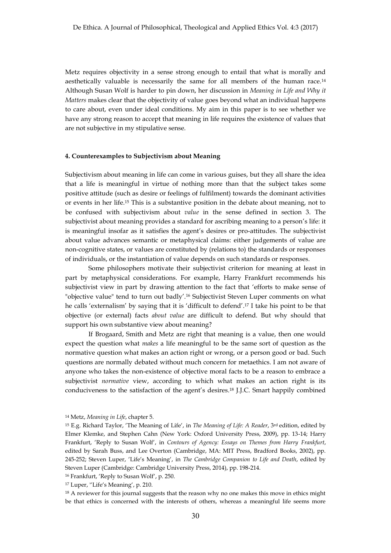Metz requires objectivity in a sense strong enough to entail that what is morally and aesthetically valuable is necessarily the same for all members of the human race.14 Although Susan Wolf is harder to pin down, her discussion in *Meaning in Life and Why it Matters* makes clear that the objectivity of value goes beyond what an individual happens to care about, even under ideal conditions. My aim in this paper is to see whether we have any strong reason to accept that meaning in life requires the existence of values that are not subjective in my stipulative sense.

#### **4. Counterexamples to Subjectivism about Meaning**

Subjectivism about meaning in life can come in various guises, but they all share the idea that a life is meaningful in virtue of nothing more than that the subject takes some positive attitude (such as desire or feelings of fulfilment) towards the dominant activities or events in her life.15 This is a substantive position in the debate about meaning, not to be confused with subjectivism about *value* in the sense defined in section 3. The subjectivist about meaning provides a standard for ascribing meaning to a person's life: it is meaningful insofar as it satisfies the agent's desires or pro-attitudes. The subjectivist about value advances semantic or metaphysical claims: either judgements of value are non-cognitive states, or values are constituted by (relations to) the standards or responses of individuals, or the instantiation of value depends on such standards or responses.

Some philosophers motivate their subjectivist criterion for meaning at least in part by metaphysical considerations. For example, Harry Frankfurt recommends his subjectivist view in part by drawing attention to the fact that 'efforts to make sense of "objective value" tend to turn out badly'.16 Subjectivist Steven Luper comments on what he calls 'externalism' by saying that it is 'difficult to defend'.17 I take his point to be that objective (or external) facts *about value* are difficult to defend. But why should that support his own substantive view about meaning?

If Brogaard, Smith and Metz are right that meaning is a value, then one would expect the question what *makes* a life meaningful to be the same sort of question as the normative question what makes an action right or wrong, or a person good or bad. Such questions are normally debated without much concern for metaethics. I am not aware of anyone who takes the non-existence of objective moral facts to be a reason to embrace a subjectivist *normative* view, according to which what makes an action right is its conduciveness to the satisfaction of the agent's desires.18 J.J.C. Smart happily combined

<sup>14</sup> Metz, *Meaning in Life*, chapter 5.

<sup>15</sup> E.g. Richard Taylor, 'The Meaning of Life', in *The Meaning of Life: A Reader*, 3rd edition, edited by Elmer Klemke, and Stephen Cahn (New York: Oxford University Press, 2009), pp. 13-14; Harry Frankfurt, 'Reply to Susan Wolf', in *Contours of Agency: Essays on Themes from Harry Frankfurt*, edited by Sarah Buss, and Lee Overton (Cambridge, MA: MIT Press, Bradford Books, 2002), pp. 245-252; Steven Luper, 'Life's Meaning', in *The Cambridge Companion to Life and Death*, edited by Steven Luper (Cambridge: Cambridge University Press, 2014), pp. 198-214.

<sup>16</sup> Frankfurt, 'Reply to Susan Wolf', p. 250.

<sup>17</sup> Luper, ''Life's Meaning', p. 210.

<sup>&</sup>lt;sup>18</sup> A reviewer for this journal suggests that the reason why no one makes this move in ethics might be that ethics is concerned with the interests of others, whereas a meaningful life seems more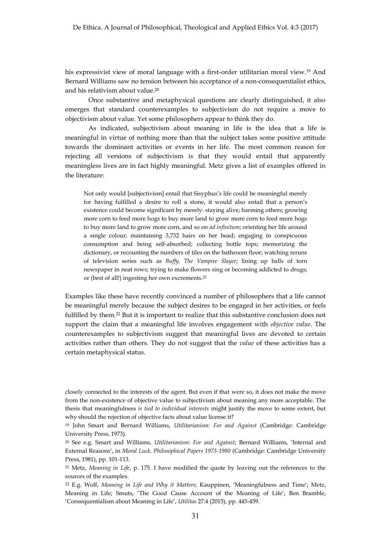his expressivist view of moral language with a first-order utilitarian moral view.<sup>19</sup> And Bernard Williams saw no tension between his acceptance of a non-consequentialist ethics, and his relativism about value.20

Once substantive and metaphysical questions are clearly distinguished, it also emerges that standard counterexamples to subjectivism do not require a move to objectivism about value. Yet some philosophers appear to think they do.

As indicated, subjectivism about meaning in life is the idea that a life is meaningful in virtue of nothing more than that the subject takes some positive attitude towards the dominant activities or events in her life. The most common reason for rejecting all versions of subjectivism is that they would entail that apparently meaningless lives are in fact highly meaningful. Metz gives a list of examples offered in the literature:

Not only would [subjectivism] entail that Sisyphus's life could be meaningful merely for having fulfilled a desire to roll a stone, it would also entail that a person's existence could become significant by merely: staying alive; harming others; growing more corn to feed more hogs to buy more land to grow more corn to feed more hogs to buy more land to grow more corn, and so on *ad infinitum*; orienting her life around a single colour; maintaining 3,732 hairs on her head; engaging in conspicuous consumption and being self-absorbed; collecting bottle tops; memorizing the dictionary, or recounting the numbers of tiles on the bathroom floor; watching reruns of television series such as *Buffy, The Vampire Slayer*; lining up balls of torn newspaper in neat rows; trying to make flowers sing or becoming addicted to drugs; or (best of all!) ingesting her own excrements.21

Examples like these have recently convinced a number of philosophers that a life cannot be meaningful merely because the subject desires to be engaged in her activities, or feels fulfilled by them.<sup>22</sup> But it is important to realize that this substantive conclusion does not support the claim that a meaningful life involves engagement with *objective value*. The counterexamples to subjectivism suggest that meaningful lives are devoted to certain activities rather than others. They do not suggest that the *value* of these activities has a certain metaphysical status.

closely connected to the interests of the agent. But even if that were so, it does not make the move from the non-existence of objective value to subjectivism about meaning any more acceptable. The thesis that meaningfulness *is tied to individual interests* might justify the move to some extent, but why should the rejection of objective facts about value license it?

<sup>19</sup> John Smart and Bernard Williams, *Utilitarianism: For and Against* (Cambridge: Cambridge University Press, 1973).

<sup>20</sup> See e.g. Smart and Williams, *Utilitarianism: For and Against*; Bernard Williams, 'Internal and External Reasons', in *Moral Luck. Philosophical Papers 1973-1980* (Cambridge: Cambridge University Press, 1981), pp. 101-113.

<sup>21</sup> Metz, *Meaning in Life*, p. 175. I have modified the quote by leaving out the references to the sources of the examples.

<sup>22</sup> E.g. Wolf, *Meaning in Life and Why it Matters*; Kauppinen, 'Meaningfulness and Time'; Metz, Meaning in Life; Smuts, 'The Good Cause Account of the Meaning of Life'; Ben Bramble, 'Consequentialism about Meaning in Life', *Utilitas* 27:4 (2015), pp. 445-459.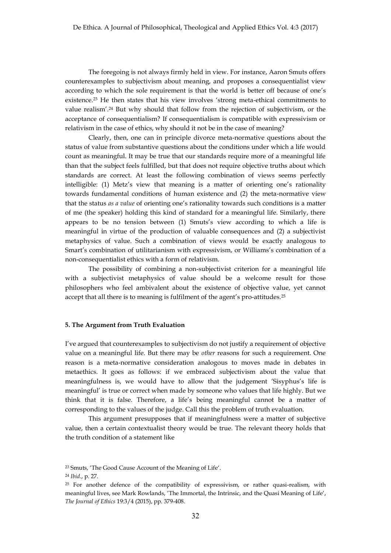The foregoing is not always firmly held in view. For instance, Aaron Smuts offers counterexamples to subjectivism about meaning, and proposes a consequentialist view according to which the sole requirement is that the world is better off because of one's existence.23 He then states that his view involves 'strong meta-ethical commitments to value realism'. <sup>24</sup> But why should that follow from the rejection of subjectivism, or the acceptance of consequentialism? If consequentialism is compatible with expressivism or relativism in the case of ethics, why should it not be in the case of meaning?

Clearly, then, one can in principle divorce meta-normative questions about the status of value from substantive questions about the conditions under which a life would count as meaningful. It may be true that our standards require more of a meaningful life than that the subject feels fulfilled, but that does not require objective truths about which standards are correct. At least the following combination of views seems perfectly intelligible: (1) Metz's view that meaning is a matter of orienting one's rationality towards fundamental conditions of human existence and (2) the meta-normative view that the status *as a value* of orienting one's rationality towards such conditions is a matter of me (the speaker) holding this kind of standard for a meaningful life. Similarly, there appears to be no tension between (1) Smuts's view according to which a life is meaningful in virtue of the production of valuable consequences and (2) a subjectivist metaphysics of value. Such a combination of views would be exactly analogous to Smart's combination of utilitarianism with expressivism, or Williams's combination of a non-consequentialist ethics with a form of relativism.

The possibility of combining a non-subjectivist criterion for a meaningful life with a subjectivist metaphysics of value should be a welcome result for those philosophers who feel ambivalent about the existence of objective value, yet cannot accept that all there is to meaning is fulfilment of the agent's pro-attitudes.<sup>25</sup>

## **5. The Argument from Truth Evaluation**

I've argued that counterexamples to subjectivism do not justify a requirement of objective value on a meaningful life. But there may be *other* reasons for such a requirement. One reason is a meta-normative consideration analogous to moves made in debates in metaethics. It goes as follows: if we embraced subjectivism about the value that meaningfulness is, we would have to allow that the judgement 'Sisyphus's life is meaningful' is true or correct when made by someone who values that life highly. But we think that it is false. Therefore, a life's being meaningful cannot be a matter of corresponding to the values of the judge. Call this the problem of truth evaluation.

This argument presupposes that if meaningfulness were a matter of subjective value, then a certain contextualist theory would be true. The relevant theory holds that the truth condition of a statement like

<sup>23</sup> Smuts, 'The Good Cause Account of the Meaning of Life'.

<sup>24</sup> *Ibid.*, p. 27.

 $25$  For another defence of the compatibility of expressivism, or rather quasi-realism, with meaningful lives, see Mark Rowlands, 'The Immortal, the Intrinsic, and the Quasi Meaning of Life', *The Journal of Ethics* 19:3/4 (2015), pp. 379-408.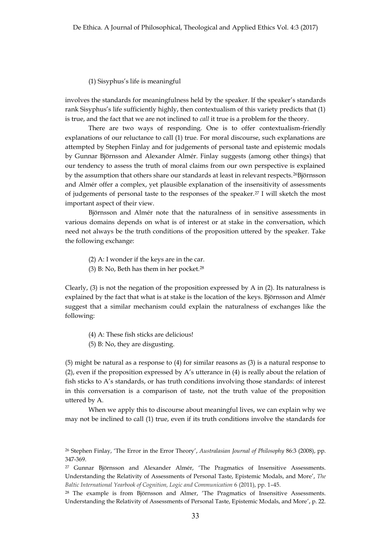#### (1) Sisyphus's life is meaningful

involves the standards for meaningfulness held by the speaker. If the speaker's standards rank Sisyphus's life sufficiently highly, then contextualism of this variety predicts that (1) is true, and the fact that we are not inclined to *call* it true is a problem for the theory.

There are two ways of responding. One is to offer contextualism-friendly explanations of our reluctance to call (1) true. For moral discourse, such explanations are attempted by Stephen Finlay and for judgements of personal taste and epistemic modals by Gunnar Björnsson and Alexander Almér. Finlay suggests (among other things) that our tendency to assess the truth of moral claims from our own perspective is explained by the assumption that others share our standards at least in relevant respects.26Björnsson and Almér offer a complex, yet plausible explanation of the insensitivity of assessments of judgements of personal taste to the responses of the speaker.27 I will sketch the most important aspect of their view.

Björnsson and Almér note that the naturalness of in sensitive assessments in various domains depends on what is of interest or at stake in the conversation, which need not always be the truth conditions of the proposition uttered by the speaker. Take the following exchange:

- (2) A: I wonder if the keys are in the car.
- (3) B: No, Beth has them in her pocket.<sup>28</sup>

Clearly,  $(3)$  is not the negation of the proposition expressed by A in  $(2)$ . Its naturalness is explained by the fact that what is at stake is the location of the keys. Björnsson and Almér suggest that a similar mechanism could explain the naturalness of exchanges like the following:

- (4) A: These fish sticks are delicious!
- (5) B: No, they are disgusting.

(5) might be natural as a response to (4) for similar reasons as (3) is a natural response to (2), even if the proposition expressed by A's utterance in (4) is really about the relation of fish sticks to A's standards, or has truth conditions involving those standards: of interest in this conversation is a comparison of taste, not the truth value of the proposition uttered by A.

When we apply this to discourse about meaningful lives, we can explain why we may not be inclined to call (1) true, even if its truth conditions involve the standards for

<sup>26</sup> Stephen Finlay, 'The Error in the Error Theory', *Australasian Journal of Philosophy* 86:3 (2008), pp. 347-369.

<sup>27</sup> Gunnar Björnsson and Alexander Almér, 'The Pragmatics of Insensitive Assessments. Understanding the Relativity of Assessments of Personal Taste, Epistemic Modals, and More', *The Baltic International Yearbook of Cognition, Logic and Communication* 6 (2011), pp. 1–45.

<sup>28</sup> The example is from Björnsson and Almer, 'The Pragmatics of Insensitive Assessments. Understanding the Relativity of Assessments of Personal Taste, Epistemic Modals, and More', p. 22.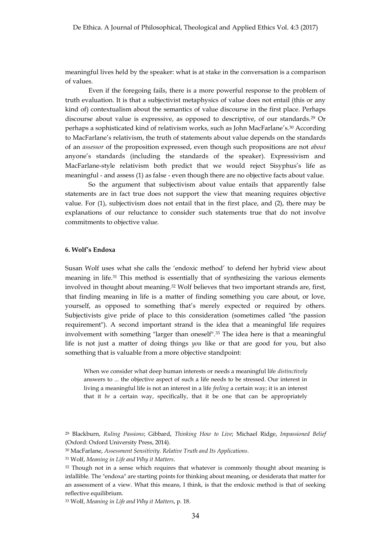meaningful lives held by the speaker: what is at stake in the conversation is a comparison of values.

Even if the foregoing fails, there is a more powerful response to the problem of truth evaluation. It is that a subjectivist metaphysics of value does not entail (this or any kind of) contextualism about the semantics of value discourse in the first place. Perhaps discourse about value is expressive, as opposed to descriptive, of our standards.29 Or perhaps a sophisticated kind of relativism works, such as John MacFarlane's.30 According to MacFarlane's relativism, the truth of statements about value depends on the standards of an *assessor* of the proposition expressed, even though such propositions are not *about*  anyone's standards (including the standards of the speaker). Expressivism and MacFarlane-style relativism both predict that we would reject Sisyphus's life as meaningful - and assess (1) as false - even though there are no objective facts about value.

So the argument that subjectivism about value entails that apparently false statements are in fact true does not support the view that meaning requires objective value. For (1), subjectivism does not entail that in the first place, and (2), there may be explanations of our reluctance to consider such statements true that do not involve commitments to objective value.

# **6. Wolf's Endoxa**

Susan Wolf uses what she calls the 'endoxic method' to defend her hybrid view about meaning in life.31 This method is essentially that of synthesizing the various elements involved in thought about meaning.32 Wolf believes that two important strands are, first, that finding meaning in life is a matter of finding something you care about, or love, yourself, as opposed to something that's merely expected or required by others. Subjectivists give pride of place to this consideration (sometimes called "the passion requirement"). A second important strand is the idea that a meaningful life requires involvement with something "larger than oneself".33 The idea here is that a meaningful life is not just a matter of doing things *you* like or that are good for you, but also something that is valuable from a more objective standpoint:

When we consider what deep human interests or needs a meaningful life *distinctively* answers to ... the objective aspect of such a life needs to be stressed. Our interest in living a meaningful life is not an interest in a life *feeling* a certain way; it is an interest that it *be* a certain way, specifically, that it be one that can be appropriately

<sup>33</sup> Wolf, *Meaning in Life and Why it Matters*, p. 18.

<sup>29</sup> Blackburn, *Ruling Passions*; Gibbard, *Thinking How to Live*; Michael Ridge, *Impassioned Belief*  (Oxford: Oxford University Press, 2014).

<sup>30</sup> MacFarlane, *Assessment Sensitivity*. *Relative Truth and Its Applications*.

<sup>31</sup> Wolf, *Meaning in Life and Why it Matters*.

<sup>&</sup>lt;sup>32</sup> Though not in a sense which requires that whatever is commonly thought about meaning is infallible. The "endoxa" are starting points for thinking about meaning, or desiderata that matter for an assessment of a view. What this means, I think, is that the endoxic method is that of seeking reflective equilibrium.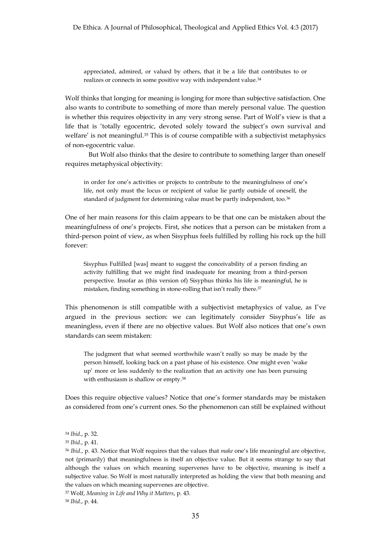appreciated, admired, or valued by others, that it be a life that contributes to or realizes or connects in some positive way with independent value.34

Wolf thinks that longing for meaning is longing for more than subjective satisfaction. One also wants to contribute to something of more than merely personal value. The question is whether this requires objectivity in any very strong sense. Part of Wolf's view is that a life that is 'totally egocentric, devoted solely toward the subject's own survival and welfare' is not meaningful.<sup>35</sup> This is of course compatible with a subjectivist metaphysics of non-egocentric value.

But Wolf also thinks that the desire to contribute to something larger than oneself requires metaphysical objectivity:

in order for one's activities or projects to contribute to the meaningfulness of one's life, not only must the locus or recipient of value lie partly outside of oneself, the standard of judgment for determining value must be partly independent, too.36

One of her main reasons for this claim appears to be that one can be mistaken about the meaningfulness of one's projects. First, she notices that a person can be mistaken from a third-person point of view, as when Sisyphus feels fulfilled by rolling his rock up the hill forever:

Sisyphus Fulfilled [was] meant to suggest the conceivability of a person finding an activity fulfilling that we might find inadequate for meaning from a third-person perspective. Insofar as (this version of) Sisyphus thinks his life is meaningful, he is mistaken, finding something in stone-rolling that isn't really there.37

This phenomenon is still compatible with a subjectivist metaphysics of value, as I've argued in the previous section: we can legitimately consider Sisyphus's life as meaningless, even if there are no objective values. But Wolf also notices that one's own standards can seem mistaken:

The judgment that what seemed worthwhile wasn't really so may be made by the person himself, looking back on a past phase of his existence. One might even 'wake up' more or less suddenly to the realization that an activity one has been pursuing with enthusiasm is shallow or empty.38

Does this require objective values? Notice that one's former standards may be mistaken as considered from one's current ones. So the phenomenon can still be explained without

<sup>37</sup> Wolf, *Meaning in Life and Why it Matters*, p. 43. <sup>38</sup> *Ibid.*, p. 44.

<sup>34</sup> *Ibid.*, p. 32.

<sup>35</sup> *Ibid.*, p. 41.

<sup>36</sup> *Ibid.*, p. 43. Notice that Wolf requires that the values that *make* one's life meaningful are objective, not (primarily) that meaningfulness is itself an objective value. But it seems strange to say that although the values on which meaning supervenes have to be objective, meaning is itself a subjective value. So Wolf is most naturally interpreted as holding the view that both meaning and the values on which meaning supervenes are objective.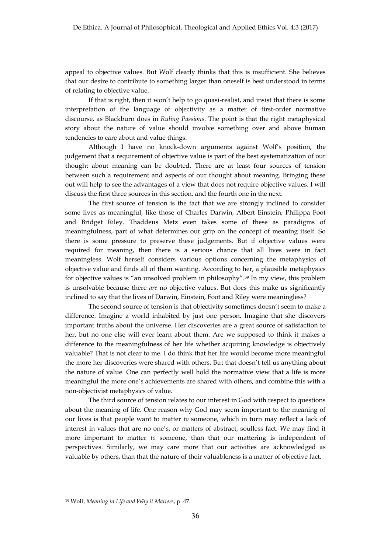appeal to objective values. But Wolf clearly thinks that this is insufficient. She believes that our desire to contribute to something larger than oneself is best understood in terms of relating to objective value.

If that is right, then it won't help to go quasi-realist, and insist that there is some interpretation of the language of objectivity as a matter of first-order normative discourse, as Blackburn does in *Ruling Passions*. The point is that the right metaphysical story about the nature of value should involve something over and above human tendencies to care about and value things.

Although I have no knock-down arguments against Wolf's position, the judgement that a requirement of objective value is part of the best systematization of our thought about meaning can be doubted. There are at least four sources of tension between such a requirement and aspects of our thought about meaning. Bringing these out will help to see the advantages of a view that does not require objective values. I will discuss the first three sources in this section, and the fourth one in the next.

The first source of tension is the fact that we are strongly inclined to consider some lives as meaningful, like those of Charles Darwin, Albert Einstein, Philippa Foot and Bridget Riley. Thaddeus Metz even takes some of these as paradigms of meaningfulness, part of what determines our grip on the concept of meaning itself. So there is some pressure to preserve these judgements. But if objective values were required for meaning, then there is a serious chance that all lives were in fact meaningless. Wolf herself considers various options concerning the metaphysics of objective value and finds all of them wanting. According to her, a plausible metaphysics for objective values is "an unsolved problem in philosophy". <sup>39</sup> In my view, this problem is unsolvable because there *are* no objective values. But does this make us significantly inclined to say that the lives of Darwin, Einstein, Foot and Riley were meaningless?

The second source of tension is that objectivity sometimes doesn't seem to make a difference. Imagine a world inhabited by just one person. Imagine that she discovers important truths about the universe. Her discoveries are a great source of satisfaction to her, but no one else will ever learn about them. Are we supposed to think it makes a difference to the meaningfulness of her life whether acquiring knowledge is objectively valuable? That is not clear to me. I do think that her life would become more meaningful the more her discoveries were shared with others. But that doesn't tell us anything about the nature of value. One can perfectly well hold the normative view that a life is more meaningful the more one's achievements are shared with others, and combine this with a non-objectivist metaphysics of value.

The third source of tension relates to our interest in God with respect to questions about the meaning of life. One reason why God may seem important to the meaning of our lives is that people want to matter *to* someone, which in turn may reflect a lack of interest in values that are no one's, or matters of abstract, soulless fact. We may find it more important to matter *to* someone, than that our mattering is independent of perspectives. Similarly, we may care more that our activities are acknowledged as valuable by others, than that the nature of their valuableness is a matter of objective fact.

<sup>39</sup> Wolf, *Meaning in Life and Why it Matters*, p. 47.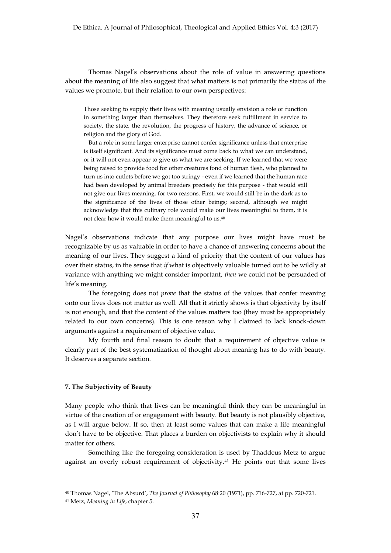Thomas Nagel's observations about the role of value in answering questions about the meaning of life also suggest that what matters is not primarily the status of the values we promote, but their relation to our own perspectives:

Those seeking to supply their lives with meaning usually envision a role or function in something larger than themselves. They therefore seek fulfillment in service to society, the state, the revolution, the progress of history, the advance of science, or religion and the glory of God.

But a role in some larger enterprise cannot confer significance unless that enterprise is itself significant. And its significance must come back to what we can understand, or it will not even appear to give us what we are seeking. If we learned that we were being raised to provide food for other creatures fond of human flesh, who planned to turn us into cutlets before we got too stringy - even if we learned that the human race had been developed by animal breeders precisely for this purpose - that would still not give our lives meaning, for two reasons. First, we would still be in the dark as to the significance of the lives of those other beings; second, although we might acknowledge that this culinary role would make our lives meaningful to them, it is not clear how it would make them meaningful to us.40

Nagel's observations indicate that any purpose our lives might have must be recognizable by us as valuable in order to have a chance of answering concerns about the meaning of our lives. They suggest a kind of priority that the content of our values has over their status, in the sense that *if* what is objectively valuable turned out to be wildly at variance with anything we might consider important, *then* we could not be persuaded of life's meaning.

The foregoing does not *prove* that the status of the values that confer meaning onto our lives does not matter as well. All that it strictly shows is that objectivity by itself is not enough, and that the content of the values matters too (they must be appropriately related to our own concerns). This is one reason why I claimed to lack knock-down arguments against a requirement of objective value.

My fourth and final reason to doubt that a requirement of objective value is clearly part of the best systematization of thought about meaning has to do with beauty. It deserves a separate section.

## **7. The Subjectivity of Beauty**

Many people who think that lives can be meaningful think they can be meaningful in virtue of the creation of or engagement with beauty. But beauty is not plausibly objective, as I will argue below. If so, then at least some values that can make a life meaningful don't have to be objective. That places a burden on objectivists to explain why it should matter for others.

Something like the foregoing consideration is used by Thaddeus Metz to argue against an overly robust requirement of objectivity.<sup>41</sup> He points out that some lives

<sup>40</sup> Thomas Nagel, 'The Absurd', *The Journal of Philosophy* 68:20 (1971), pp. 716-727, at pp. 720-721. <sup>41</sup> Metz, *Meaning in Life*, chapter 5.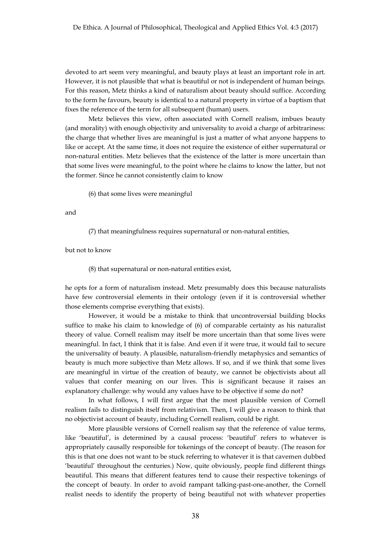devoted to art seem very meaningful, and beauty plays at least an important role in art. However, it is not plausible that what is beautiful or not is independent of human beings. For this reason, Metz thinks a kind of naturalism about beauty should suffice. According to the form he favours, beauty is identical to a natural property in virtue of a baptism that fixes the reference of the term for all subsequent (human) users.

Metz believes this view, often associated with Cornell realism, imbues beauty (and morality) with enough objectivity and universality to avoid a charge of arbitrariness: the charge that whether lives are meaningful is just a matter of what anyone happens to like or accept. At the same time, it does not require the existence of either supernatural or non-natural entities. Metz believes that the existence of the latter is more uncertain than that some lives were meaningful, to the point where he claims to know the latter, but not the former. Since he cannot consistently claim to know

(6) that some lives were meaningful

and

(7) that meaningfulness requires supernatural or non-natural entities,

but not to know

(8) that supernatural or non-natural entities exist,

he opts for a form of naturalism instead. Metz presumably does this because naturalists have few controversial elements in their ontology (even if it is controversial whether those elements comprise everything that exists).

However, it would be a mistake to think that uncontroversial building blocks suffice to make his claim to knowledge of (6) of comparable certainty as his naturalist theory of value. Cornell realism may itself be more uncertain than that some lives were meaningful. In fact, I think that it is false. And even if it were true, it would fail to secure the universality of beauty. A plausible, naturalism-friendly metaphysics and semantics of beauty is much more subjective than Metz allows. If so, and if we think that some lives are meaningful in virtue of the creation of beauty, we cannot be objectivists about all values that confer meaning on our lives. This is significant because it raises an explanatory challenge: why would any values have to be objective if some do not?

In what follows, I will first argue that the most plausible version of Cornell realism fails to distinguish itself from relativism. Then, I will give a reason to think that no objectivist account of beauty, including Cornell realism, could be right.

More plausible versions of Cornell realism say that the reference of value terms, like 'beautiful', is determined by a causal process: 'beautiful' refers to whatever is appropriately causally responsible for tokenings of the concept of beauty. (The reason for this is that one does not want to be stuck referring to whatever it is that cavemen dubbed 'beautiful' throughout the centuries.) Now, quite obviously, people find different things beautiful. This means that different features tend to cause their respective tokenings of the concept of beauty. In order to avoid rampant talking-past-one-another, the Cornell realist needs to identify the property of being beautiful not with whatever properties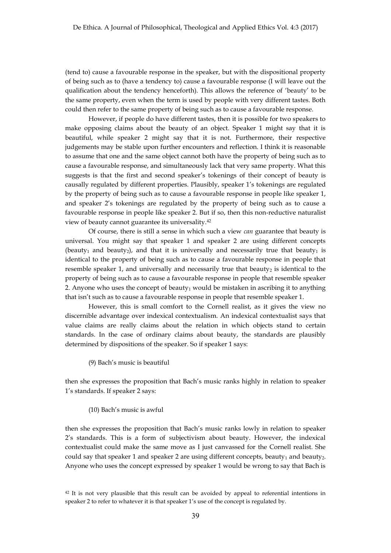(tend to) cause a favourable response in the speaker, but with the dispositional property of being such as to (have a tendency to) cause a favourable response (I will leave out the qualification about the tendency henceforth). This allows the reference of 'beauty' to be the same property, even when the term is used by people with very different tastes. Both could then refer to the same property of being such as to cause a favourable response.

However, if people do have different tastes, then it is possible for two speakers to make opposing claims about the beauty of an object. Speaker 1 might say that it is beautiful, while speaker 2 might say that it is not. Furthermore, their respective judgements may be stable upon further encounters and reflection. I think it is reasonable to assume that one and the same object cannot both have the property of being such as to cause a favourable response, and simultaneously lack that very same property. What this suggests is that the first and second speaker's tokenings of their concept of beauty is causally regulated by different properties. Plausibly, speaker 1's tokenings are regulated by the property of being such as to cause a favourable response in people like speaker 1, and speaker 2's tokenings are regulated by the property of being such as to cause a favourable response in people like speaker 2. But if so, then this non-reductive naturalist view of beauty cannot guarantee its universality.42

Of course, there is still a sense in which such a view *can* guarantee that beauty is universal. You might say that speaker 1 and speaker 2 are using different concepts (beauty<sub>1</sub> and beauty<sub>2</sub>), and that it is universally and necessarily true that beauty<sub>1</sub> is identical to the property of being such as to cause a favourable response in people that resemble speaker 1, and universally and necessarily true that beauty<sub>2</sub> is identical to the property of being such as to cause a favourable response in people that resemble speaker 2. Anyone who uses the concept of beauty<sub>1</sub> would be mistaken in ascribing it to anything that isn't such as to cause a favourable response in people that resemble speaker 1.

However, this is small comfort to the Cornell realist, as it gives the view no discernible advantage over indexical contextualism. An indexical contextualist says that value claims are really claims about the relation in which objects stand to certain standards. In the case of ordinary claims about beauty, the standards are plausibly determined by dispositions of the speaker. So if speaker 1 says:

(9) Bach's music is beautiful

then she expresses the proposition that Bach's music ranks highly in relation to speaker 1's standards. If speaker 2 says:

## (10) Bach's music is awful

then she expresses the proposition that Bach's music ranks lowly in relation to speaker 2's standards. This is a form of subjectivism about beauty. However, the indexical contextualist could make the same move as I just canvassed for the Cornell realist. She could say that speaker 1 and speaker 2 are using different concepts, beauty<sub>1</sub> and beauty<sub>2</sub>. Anyone who uses the concept expressed by speaker 1 would be wrong to say that Bach is

<sup>42</sup> It is not very plausible that this result can be avoided by appeal to referential intentions in speaker 2 to refer to whatever it is that speaker 1's use of the concept is regulated by.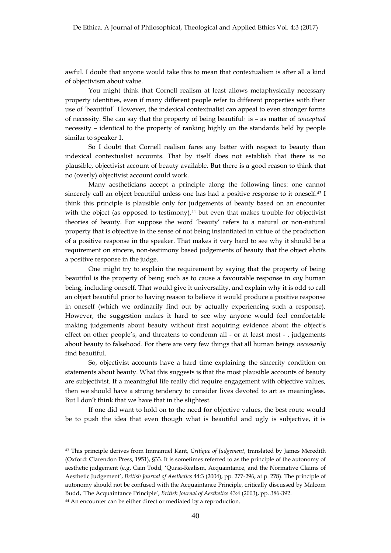awful. I doubt that anyone would take this to mean that contextualism is after all a kind of objectivism about value.

You might think that Cornell realism at least allows metaphysically necessary property identities, even if many different people refer to different properties with their use of 'beautiful'. However, the indexical contextualist can appeal to even stronger forms of necessity. She can say that the property of being beautiful<sub>1</sub> is – as matter of *conceptual* necessity – identical to the property of ranking highly on the standards held by people similar to speaker 1.

So I doubt that Cornell realism fares any better with respect to beauty than indexical contextualist accounts. That by itself does not establish that there is no plausible, objectivist account of beauty available. But there is a good reason to think that no (overly) objectivist account could work.

Many aestheticians accept a principle along the following lines: one cannot sincerely call an object beautiful unless one has had a positive response to it oneself.43 I think this principle is plausible only for judgements of beauty based on an encounter with the object (as opposed to testimony), $44$  but even that makes trouble for objectivist theories of beauty. For suppose the word 'beauty' refers to a natural or non-natural property that is objective in the sense of not being instantiated in virtue of the production of a positive response in the speaker. That makes it very hard to see why it should be a requirement on sincere, non-testimony based judgements of beauty that the object elicits a positive response in the judge.

One might try to explain the requirement by saying that the property of being beautiful is the property of being such as to cause a favourable response in *any* human being, including oneself. That would give it universality, and explain why it is odd to call an object beautiful prior to having reason to believe it would produce a positive response in oneself (which we ordinarily find out by actually experiencing such a response). However, the suggestion makes it hard to see why anyone would feel comfortable making judgements about beauty without first acquiring evidence about the object's effect on other people's, and threatens to condemn all - or at least most - , judgements about beauty to falsehood. For there are very few things that all human beings *necessarily*  find beautiful.

So, objectivist accounts have a hard time explaining the sincerity condition on statements about beauty. What this suggests is that the most plausible accounts of beauty are subjectivist. If a meaningful life really did require engagement with objective values, then we should have a strong tendency to consider lives devoted to art as meaningless. But I don't think that we have that in the slightest.

If one did want to hold on to the need for objective values, the best route would be to push the idea that even though what is beautiful and ugly is subjective, it is

<sup>43</sup> This principle derives from Immanuel Kant, *Critique of Judgement*, translated by James Meredith (Oxford: Clarendon Press, 1951), §33. It is sometimes referred to as the principle of the autonomy of aesthetic judgement (e.g. Cain Todd, 'Quasi-Realism, Acquaintance, and the Normative Claims of Aesthetic Judgement', *British Journal of Aesthetics* 44:3 (2004), pp. 277-296, at p. 278). The principle of autonomy should not be confused with the Acquaintance Principle, critically discussed by Malcom Budd, 'The Acquaintance Principle', *British Journal of Aesthetics* 43:4 (2003), pp. 386-392. <sup>44</sup> An encounter can be either direct or mediated by a reproduction.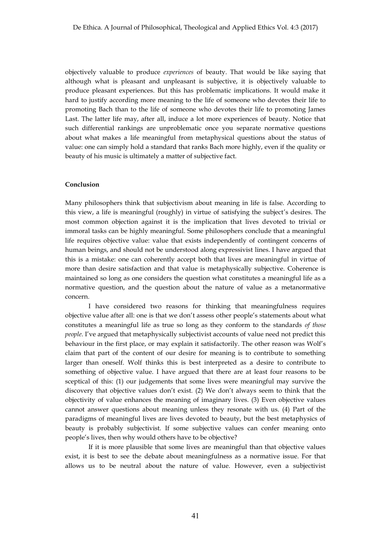objectively valuable to produce *experiences* of beauty. That would be like saying that although what is pleasant and unpleasant is subjective, it is objectively valuable to produce pleasant experiences. But this has problematic implications. It would make it hard to justify according more meaning to the life of someone who devotes their life to promoting Bach than to the life of someone who devotes their life to promoting James Last. The latter life may, after all, induce a lot more experiences of beauty. Notice that such differential rankings are unproblematic once you separate normative questions about what makes a life meaningful from metaphysical questions about the status of value: one can simply hold a standard that ranks Bach more highly, even if the quality or beauty of his music is ultimately a matter of subjective fact.

# **Conclusion**

Many philosophers think that subjectivism about meaning in life is false. According to this view, a life is meaningful (roughly) in virtue of satisfying the subject's desires. The most common objection against it is the implication that lives devoted to trivial or immoral tasks can be highly meaningful. Some philosophers conclude that a meaningful life requires objective value: value that exists independently of contingent concerns of human beings, and should not be understood along expressivist lines. I have argued that this is a mistake: one can coherently accept both that lives are meaningful in virtue of more than desire satisfaction and that value is metaphysically subjective. Coherence is maintained so long as one considers the question what constitutes a meaningful life as a normative question, and the question about the nature of value as a metanormative concern.

I have considered two reasons for thinking that meaningfulness requires objective value after all: one is that we don't assess other people's statements about what constitutes a meaningful life as true so long as they conform to the standards *of those people*. I've argued that metaphysically subjectivist accounts of value need not predict this behaviour in the first place, or may explain it satisfactorily. The other reason was Wolf's claim that part of the content of our desire for meaning is to contribute to something larger than oneself. Wolf thinks this is best interpreted as a desire to contribute to something of objective value. I have argued that there are at least four reasons to be sceptical of this: (1) our judgements that some lives were meaningful may survive the discovery that objective values don't exist. (2) We don't always seem to think that the objectivity of value enhances the meaning of imaginary lives. (3) Even objective values cannot answer questions about meaning unless they resonate with us. (4) Part of the paradigms of meaningful lives are lives devoted to beauty, but the best metaphysics of beauty is probably subjectivist. If some subjective values can confer meaning onto people's lives, then why would others have to be objective?

If it is more plausible that some lives are meaningful than that objective values exist, it is best to see the debate about meaningfulness as a normative issue. For that allows us to be neutral about the nature of value. However, even a subjectivist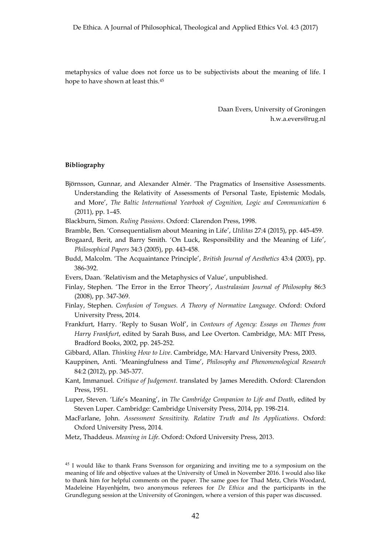metaphysics of value does not force us to be subjectivists about the meaning of life. I hope to have shown at least this.45

> Daan Evers, University of Groningen h.w.a.evers@rug.nl

## **Bibliography**

- Björnsson, Gunnar, and Alexander Almér. 'The Pragmatics of Insensitive Assessments. Understanding the Relativity of Assessments of Personal Taste, Epistemic Modals, and More', *The Baltic International Yearbook of Cognition, Logic and Communication* 6 (2011), pp. 1–45.
- Blackburn, Simon. *Ruling Passions*. Oxford: Clarendon Press, 1998.
- Bramble, Ben. 'Consequentialism about Meaning in Life', *Utilitas* 27:4 (2015), pp. 445-459.
- Brogaard, Berit, and Barry Smith. 'On Luck, Responsibility and the Meaning of Life', *Philosophical Papers* 34:3 (2005), pp. 443-458.
- Budd, Malcolm. 'The Acquaintance Principle', *British Journal of Aesthetics* 43:4 (2003), pp. 386-392.
- Evers, Daan. 'Relativism and the Metaphysics of Value', unpublished.
- Finlay, Stephen. 'The Error in the Error Theory', *Australasian Journal of Philosophy* 86:3 (2008), pp. 347-369.
- Finlay, Stephen. *Confusion of Tongues. A Theory of Normative Language*. Oxford: Oxford University Press, 2014.
- Frankfurt, Harry. 'Reply to Susan Wolf', in *Contours of Agency: Essays on Themes from Harry Frankfurt*, edited by Sarah Buss, and Lee Overton. Cambridge, MA: MIT Press, Bradford Books, 2002, pp. 245-252.
- Gibbard, Allan. *Thinking How to Live*. Cambridge, MA: Harvard University Press, 2003.
- Kauppinen, Anti. 'Meaningfulness and Time', *Philosophy and Phenomenological Research* 84:2 (2012), pp. 345-377.
- Kant, Immanuel. *Critique of Judgement*. translated by James Meredith. Oxford: Clarendon Press, 1951.
- Luper, Steven. 'Life's Meaning', in *The Cambridge Companion to Life and Death*, edited by Steven Luper. Cambridge: Cambridge University Press, 2014, pp. 198-214.
- MacFarlane, John. *Assessment Sensitivity. Relative Truth and Its Applications*. Oxford: Oxford University Press, 2014.

Metz, Thaddeus. *Meaning in Life*. Oxford: Oxford University Press, 2013.

<sup>&</sup>lt;sup>45</sup> I would like to thank Frans Svensson for organizing and inviting me to a symposium on the meaning of life and objective values at the University of Umeå in November 2016. I would also like to thank him for helpful comments on the paper. The same goes for Thad Metz, Chris Woodard, Madeleine Hayenhjelm, two anonymous referees for *De Ethica* and the participants in the Grundlegung session at the University of Groningen, where a version of this paper was discussed.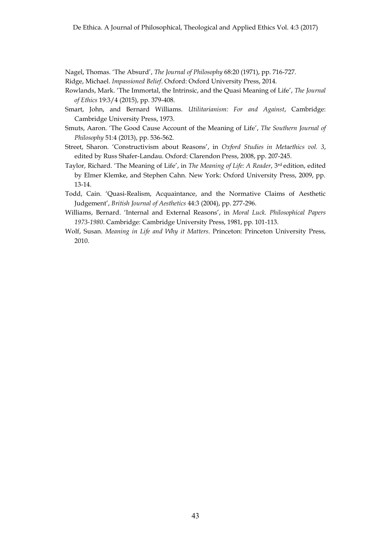Nagel, Thomas. 'The Absurd', *The Journal of Philosophy* 68:20 (1971), pp. 716-727.

- Ridge, Michael. *Impassioned Belief*. Oxford: Oxford University Press, 2014.
- Rowlands, Mark. 'The Immortal, the Intrinsic, and the Quasi Meaning of Life', *The Journal of Ethics* 19:3/4 (2015), pp. 379-408.
- Smart, John, and Bernard Williams. *Utilitarianism: For and Against*, Cambridge: Cambridge University Press, 1973.
- Smuts, Aaron. 'The Good Cause Account of the Meaning of Life', *The Southern Journal of Philosophy* 51:4 (2013), pp. 536-562.
- Street, Sharon. 'Constructivism about Reasons', in *Oxford Studies in Metaethics vol. 3*, edited by Russ Shafer-Landau. Oxford: Clarendon Press, 2008, pp. 207-245.
- Taylor, Richard. 'The Meaning of Life', in *The Meaning of Life: A Reader*, 3rd edition, edited by Elmer Klemke, and Stephen Cahn. New York: Oxford University Press, 2009, pp. 13-14.
- Todd, Cain. 'Quasi-Realism, Acquaintance, and the Normative Claims of Aesthetic Judgement', *British Journal of Aesthetics* 44:3 (2004), pp. 277-296.
- Williams, Bernard. 'Internal and External Reasons', in *Moral Luck. Philosophical Papers 1973-1980*. Cambridge: Cambridge University Press, 1981, pp. 101-113.
- Wolf, Susan. *Meaning in Life and Why it Matters*. Princeton: Princeton University Press, 2010.